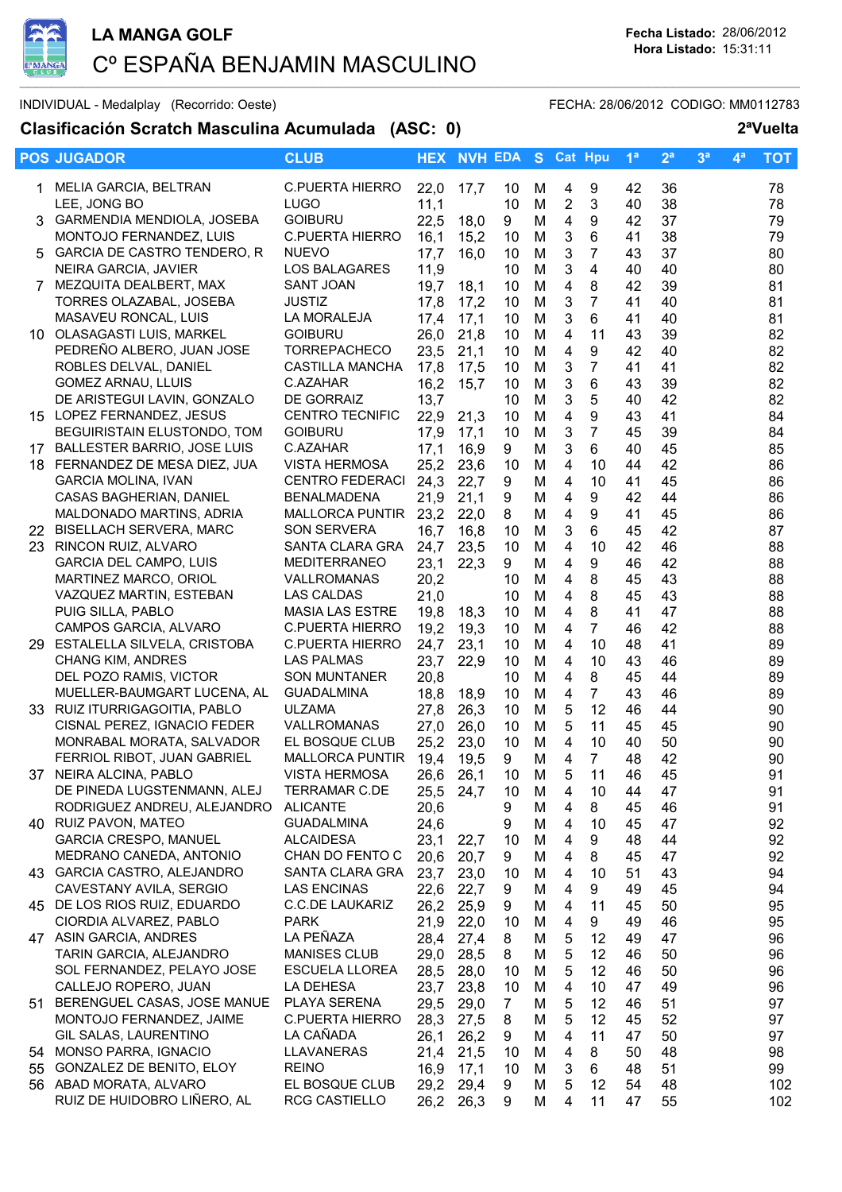

INDIVIDUAL - Medalplay (Recorrido: Oeste) and the state of the FECHA: 28/06/2012 CODIGO: MM0112783

## Clasificación Scratch Masculina Acumulada (ASC: 0)

| 2 <sup>a</sup> Vuelta |
|-----------------------|
|-----------------------|

|    | <b>POS JUGADOR</b>                                       | <b>CLUB</b>                              |              | <b>HEX NVH EDA S Cat Hpu</b> |                 |        |                              |                      | $1^a$    | 2 <sup>a</sup> | 3 <sup>a</sup> | $4^a$ | тот      |
|----|----------------------------------------------------------|------------------------------------------|--------------|------------------------------|-----------------|--------|------------------------------|----------------------|----------|----------------|----------------|-------|----------|
| 1. | MELIA GARCIA, BELTRAN                                    | <b>C.PUERTA HIERRO</b>                   | 22,0         | 17,7                         | 10              | M      | 4                            | 9                    | 42       | 36             |                |       | 78       |
|    | LEE, JONG BO                                             | LUGO                                     | 11,1         |                              | 10              | M      | $\overline{2}$               | 3                    | 40       | 38             |                |       | 78       |
| 3. | GARMENDIA MENDIOLA, JOSEBA                               | <b>GOIBURU</b>                           | 22,5         | 18,0                         | 9               | M      | $\overline{\mathbf{4}}$      | 9                    | 42       | 37             |                |       | 79       |
|    | MONTOJO FERNANDEZ, LUIS                                  | <b>C.PUERTA HIERRO</b>                   | 16,1         | 15,2                         | 10              | M      | 3                            | 6                    | 41       | 38             |                |       | 79       |
|    | GARCIA DE CASTRO TENDERO, R                              | <b>NUEVO</b>                             | 17,7         | 16.0                         | 10              | M      | 3                            | 7                    | 43       | 37             |                |       | 80       |
|    | NEIRA GARCIA, JAVIER                                     | LOS BALAGARES                            | 11,9         |                              | 10              | M      | 3                            | 4                    | 40       | 40             |                |       | 80       |
|    | MEZQUITA DEALBERT, MAX                                   | <b>SANT JOAN</b>                         | 19,7         | 18,1                         | 10              | M      | 4                            | 8                    | 42       | 39             |                |       | 81       |
|    | TORRES OLAZABAL, JOSEBA                                  | <b>JUSTIZ</b>                            | 17,8         | 17,2                         | 10              | M      | 3                            | $\overline{7}$       | 41       | 40             |                |       | 81       |
|    | MASAVEU RONCAL, LUIS                                     | LA MORALEJA                              | 17,4         | 17,1                         | 10              | M      | 3                            | 6                    | 41       | 40             |                |       | 81       |
|    | 10 OLASAGASTI LUIS, MARKEL                               | <b>GOIBURU</b>                           | 26,0         | 21,8                         | 10              | M      | $\overline{4}$               | 11                   | 43       | 39             |                |       | 82       |
|    | PEDREÑO ALBERO, JUAN JOSE                                | <b>TORREPACHECO</b>                      | 23,5         | 21,1                         | 10              | M      | $\overline{4}$               | 9                    | 42       | 40             |                |       | 82       |
|    | ROBLES DELVAL, DANIEL                                    | <b>CASTILLA MANCHA</b>                   | 17,8         | 17,5                         | 10              | M      | 3                            | $\overline{7}$       | 41       | 41             |                |       | 82       |
|    | GOMEZ ARNAU, LLUIS                                       | C.AZAHAR                                 | 16,2         | 15,7                         | 10              | M      | 3                            | 6                    | 43       | 39             |                |       | 82       |
|    | DE ARISTEGUI LAVIN, GONZALO                              | DE GORRAIZ                               | 13,7         |                              | 10              | M      | $\mathbf{3}$                 | 5                    | 40       | 42             |                |       | 82       |
|    | 15 LOPEZ FERNANDEZ, JESUS                                | <b>CENTRO TECNIFIC</b>                   | 22,9         | 21,3                         | 10              | M      | $\overline{4}$               | 9                    | 43       | 41             |                |       | 84       |
|    | BEGUIRISTAIN ELUSTONDO, TOM                              | <b>GOIBURU</b>                           | 17,9         | 17,1                         | 10              | M      | 3                            | $\overline{7}$       | 45       | 39             |                |       | 84       |
| 17 | BALLESTER BARRIO, JOSE LUIS                              | C.AZAHAR                                 | 17,1         | 16,9                         | 9               | M      | 3                            | 6                    | 40       | 45             |                |       | 85       |
|    | 18 FERNANDEZ DE MESA DIEZ, JUA                           | <b>VISTA HERMOSA</b>                     | 25,2         | 23,6                         | 10              | M      | 4                            | 10                   | 44       | 42             |                |       | 86       |
|    | <b>GARCIA MOLINA, IVAN</b>                               | <b>CENTRO FEDERACI</b>                   | 24,3         | 22,7                         | 9               | M      | 4                            | 10                   | 41       | 45             |                |       | 86       |
|    | CASAS BAGHERIAN, DANIEL                                  | <b>BENALMADENA</b>                       | 21,9         | 21,1                         | 9               | M      | 4                            | 9                    | 42       | 44             |                |       | 86       |
|    | MALDONADO MARTINS, ADRIA                                 | <b>MALLORCA PUNTIR</b>                   | 23,2         | 22,0                         | 8               | M      | 4                            | 9                    | 41       | 45             |                |       | 86       |
|    | 22 BISELLACH SERVERA, MARC                               | <b>SON SERVERA</b>                       | 16,7         | 16,8                         | 10              | M      | 3                            | 6                    | 45       | 42             |                |       | 87       |
|    | 23 RINCON RUIZ, ALVARO                                   | SANTA CLARA GRA                          | 24,7         | 23,5                         | 10              | M      | 4                            | 10                   | 42       | 46             |                |       | 88       |
|    | GARCIA DEL CAMPO, LUIS                                   | <b>MEDITERRANEO</b>                      | 23,1         | 22,3                         | 9               | M      | 4                            | 9                    | 46       | 42             |                |       | 88       |
|    | MARTINEZ MARCO, ORIOL                                    | <b>VALLROMANAS</b>                       | 20,2         |                              | 10              | M      | $\overline{4}$               | 8                    | 45       | 43             |                |       | 88       |
|    | VAZQUEZ MARTIN, ESTEBAN                                  | <b>LAS CALDAS</b>                        | 21,0         |                              | 10              | M      | $\overline{\mathbf{4}}$      | 8                    | 45       | 43             |                |       | 88       |
|    | PUIG SILLA, PABLO                                        | <b>MASIA LAS ESTRE</b>                   | 19,8         | 18,3                         | 10              | M      | $\overline{4}$               | 8                    | 41       | 47             |                |       | 88       |
|    | CAMPOS GARCIA, ALVARO                                    | <b>C.PUERTA HIERRO</b>                   | 19,2         | 19,3                         | 10              | M      | 4                            | $\overline{7}$       | 46       | 42             |                |       | 88       |
|    | 29 ESTALELLA SILVELA, CRISTOBA                           | <b>C.PUERTA HIERRO</b>                   | 24,7         | 23,1                         | 10              | M      | 4                            | 10                   | 48       | 41             |                |       | 89       |
|    | <b>CHANG KIM, ANDRES</b>                                 | <b>LAS PALMAS</b>                        | 23,7         | 22,9                         | 10              | M      | 4                            | 10                   | 43       | 46             |                |       | 89       |
|    | DEL POZO RAMIS, VICTOR                                   | <b>SON MUNTANER</b>                      | 20,8         |                              | 10              | M      | 4                            | 8                    | 45       | 44             |                |       | 89       |
|    | MUELLER-BAUMGART LUCENA, AL                              | <b>GUADALMINA</b>                        | 18,8         | 18,9                         | 10              | M      | 4                            | $\overline{7}$       | 43       | 46             |                |       | 89       |
|    | 33 RUIZ ITURRIGAGOITIA, PABLO                            | <b>ULZAMA</b>                            | 27,8         | 26,3                         | 10              | M      | 5                            | 12                   | 46       | 44             |                |       | 90       |
|    | CISNAL PEREZ, IGNACIO FEDER                              | VALLROMANAS                              | 27,0         | 26,0                         | 10              | M      | 5<br>$\overline{4}$          | 11                   | 45       | 45             |                |       | 90       |
|    | MONRABAL MORATA, SALVADOR<br>FERRIOL RIBOT, JUAN GABRIEL | EL BOSQUE CLUB<br><b>MALLORCA PUNTIR</b> | 25,2<br>19,4 | 23,0<br>19,5                 | 10<br>9         | M<br>M | $\overline{4}$               | 10<br>$\overline{7}$ | 40<br>48 | 50<br>42       |                |       | 90<br>90 |
|    | 37 NEIRA ALCINA, PABLO                                   | <b>VISTA HERMOSA</b>                     |              | 26,6 26,1                    | 10 <sub>1</sub> | M      | 5                            | 11                   | 46       | 45             |                |       | 91       |
|    | DE PINEDA LUGSTENMANN, ALEJ                              | <b>TERRAMAR C.DE</b>                     | 25,5         | 24,7                         | 10              |        |                              | 10                   |          | 47             |                |       | 91       |
|    | RODRIGUEZ ANDREU, ALEJANDRO                              | <b>ALICANTE</b>                          | 20,6         |                              | 9               | M<br>M | 4<br>$\overline{\mathbf{4}}$ | 8                    | 44<br>45 | 46             |                |       | 91       |
|    | 40 RUIZ PAVON, MATEO                                     | <b>GUADALMINA</b>                        | 24,6         |                              | 9               | M      | 4                            | 10                   | 45       | 47             |                |       | 92       |
|    | <b>GARCIA CRESPO, MANUEL</b>                             | <b>ALCAIDESA</b>                         | 23,1         | 22,7                         | 10              | M      | 4                            | 9                    | 48       | 44             |                |       | 92       |
|    | MEDRANO CANEDA, ANTONIO                                  | CHAN DO FENTO C                          | 20,6         | 20,7                         | 9               | M      | 4                            | 8                    | 45       | 47             |                |       | 92       |
|    | 43 GARCIA CASTRO, ALEJANDRO                              | SANTA CLARA GRA                          | 23,7         | 23,0                         | 10              | м      | 4                            | 10                   | 51       | 43             |                |       | 94       |
|    | CAVESTANY AVILA, SERGIO                                  | <b>LAS ENCINAS</b>                       | 22,6         | 22,7                         | 9               | M      | 4                            | 9                    | 49       | 45             |                |       | 94       |
|    | 45 DE LOS RIOS RUIZ, EDUARDO                             | <b>C.C.DE LAUKARIZ</b>                   | 26,2         | 25,9                         | 9               | M      | 4                            | 11                   | 45       | 50             |                |       | 95       |
|    | CIORDIA ALVAREZ, PABLO                                   | <b>PARK</b>                              | 21,9         | 22,0                         | 10              | M      | 4                            | 9                    | 49       | 46             |                |       | 95       |
|    | 47 ASIN GARCIA, ANDRES                                   | LA PEÑAZA                                | 28,4         | 27,4                         | 8               | M      | 5                            | 12                   | 49       | 47             |                |       | 96       |
|    | TARIN GARCIA, ALEJANDRO                                  | <b>MANISES CLUB</b>                      | 29,0         | 28,5                         | 8               | M      | 5                            | 12                   | 46       | 50             |                |       | 96       |
|    | SOL FERNANDEZ, PELAYO JOSE                               | <b>ESCUELA LLOREA</b>                    | 28,5         | 28,0                         | 10              | м      | 5                            | 12                   | 46       | 50             |                |       | 96       |
|    | CALLEJO ROPERO, JUAN                                     | LA DEHESA                                | 23,7         | 23,8                         | 10              | M      | 4                            | 10                   | 47       | 49             |                |       | 96       |
|    | 51 BERENGUEL CASAS, JOSE MANUE                           | PLAYA SERENA                             | 29,5         | 29,0                         | $\overline{7}$  | M      | 5                            | 12                   | 46       | 51             |                |       | 97       |
|    | MONTOJO FERNANDEZ, JAIME                                 | <b>C.PUERTA HIERRO</b>                   | 28,3         | 27,5                         | 8               | M      | 5                            | 12                   | 45       | 52             |                |       | 97       |
|    | GIL SALAS, LAURENTINO                                    | LA CAÑADA                                | 26,1         | 26,2                         | 9               | M      | 4                            | 11                   | 47       | 50             |                |       | 97       |
|    | 54 MONSO PARRA, IGNACIO                                  | LLAVANERAS                               | 21,4         | 21,5                         | 10              | M      | 4                            | 8                    | 50       | 48             |                |       | 98       |
| 55 | GONZALEZ DE BENITO, ELOY                                 | <b>REINO</b>                             | 16,9         | 17,1                         | 10              | м      | 3                            | 6                    | 48       | 51             |                |       | 99       |
|    | 56 ABAD MORATA, ALVARO                                   | EL BOSQUE CLUB                           | 29,2         | 29,4                         | 9               | M      | 5                            | 12                   | 54       | 48             |                |       | 102      |
|    | RUIZ DE HUIDOBRO LIÑERO, AL                              | <b>RCG CASTIELLO</b>                     | 26,2         | 26,3                         | 9               | M      | 4                            | 11                   | 47       | 55             |                |       | 102      |